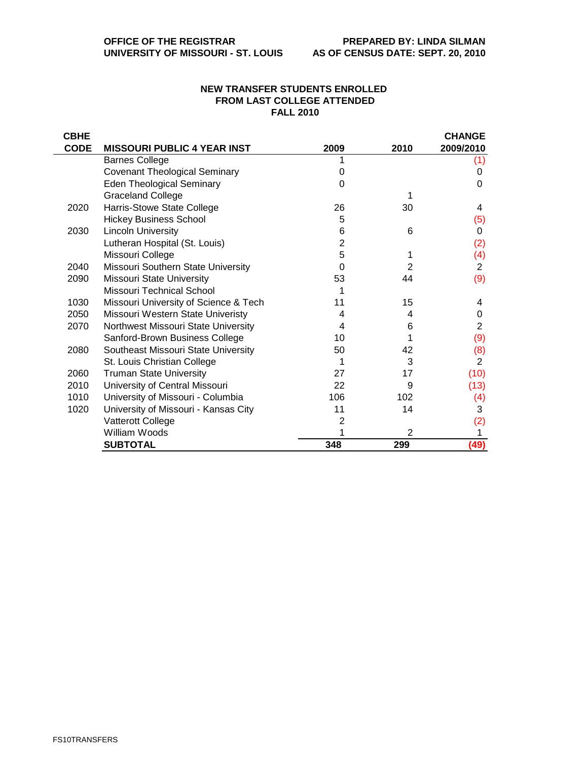## **NEW TRANSFER STUDENTS ENROLLED FROM LAST COLLEGE ATTENDED FALL 2010**

| <b>CBHE</b> |                                       |      |      | <b>CHANGE</b>  |
|-------------|---------------------------------------|------|------|----------------|
| <b>CODE</b> | <b>MISSOURI PUBLIC 4 YEAR INST</b>    | 2009 | 2010 | 2009/2010      |
|             | <b>Barnes College</b>                 |      |      | (1)            |
|             | <b>Covenant Theological Seminary</b>  | 0    |      | 0              |
|             | <b>Eden Theological Seminary</b>      | 0    |      | 0              |
|             | <b>Graceland College</b>              |      |      |                |
| 2020        | Harris-Stowe State College            | 26   | 30   | 4              |
|             | <b>Hickey Business School</b>         | 5    |      | (5)            |
| 2030        | <b>Lincoln University</b>             | 6    | 6    | 0              |
|             | Lutheran Hospital (St. Louis)         | 2    |      | (2)            |
|             | Missouri College                      | 5    |      | (4)            |
| 2040        | Missouri Southern State University    | 0    | 2    | 2              |
| 2090        | <b>Missouri State University</b>      | 53   | 44   | (9)            |
|             | Missouri Technical School             |      |      |                |
| 1030        | Missouri University of Science & Tech | 11   | 15   | 4              |
| 2050        | Missouri Western State Univeristy     | 4    | 4    | 0              |
| 2070        | Northwest Missouri State University   | 4    | 6    | $\overline{2}$ |
|             | Sanford-Brown Business College        | 10   |      | (9)            |
| 2080        | Southeast Missouri State University   | 50   | 42   | (8)            |
|             | St. Louis Christian College           |      | 3    | $\overline{2}$ |
| 2060        | <b>Truman State University</b>        | 27   | 17   | (10)           |
| 2010        | University of Central Missouri        | 22   | 9    | (13)           |
| 1010        | University of Missouri - Columbia     | 106  | 102  | (4)            |
| 1020        | University of Missouri - Kansas City  | 11   | 14   | 3              |
|             | Vatterott College                     | 2    |      | (2)            |
|             | William Woods                         |      | 2    |                |
|             | <b>SUBTOTAL</b>                       | 348  | 299  | (49)           |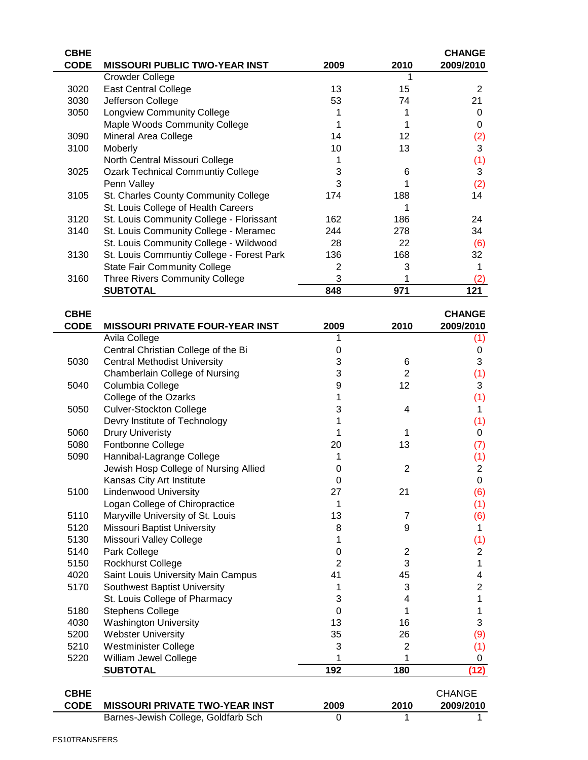| <b>CBHE</b> |                                           |      |      | <b>CHANGE</b> |
|-------------|-------------------------------------------|------|------|---------------|
| <b>CODE</b> | <b>MISSOURI PUBLIC TWO-YEAR INST</b>      | 2009 | 2010 | 2009/2010     |
|             | Crowder College                           |      |      |               |
| 3020        | <b>East Central College</b>               | 13   | 15   | 2             |
| 3030        | Jefferson College                         | 53   | 74   | 21            |
| 3050        | <b>Longview Community College</b>         |      |      | O             |
|             | Maple Woods Community College             |      |      | 0             |
| 3090        | Mineral Area College                      | 14   | 12   | (2)           |
| 3100        | <b>Moberly</b>                            | 10   | 13   | 3             |
|             | North Central Missouri College            |      |      | (1)           |
| 3025        | <b>Ozark Technical Communtiy College</b>  | 3    | 6    | 3             |
|             | Penn Valley                               | 3    |      | (2)           |
| 3105        | St. Charles County Community College      | 174  | 188  | 14            |
|             | St. Louis College of Health Careers       |      |      |               |
| 3120        | St. Louis Community College - Florissant  | 162  | 186  | 24            |
| 3140        | St. Louis Community College - Meramec     | 244  | 278  | 34            |
|             | St. Louis Community College - Wildwood    | 28   | 22   | (6)           |
| 3130        | St. Louis Communtiy College - Forest Park | 136  | 168  | 32            |
|             | <b>State Fair Community College</b>       | 2    | 3    |               |
| 3160        | <b>Three Rivers Community College</b>     | 3    |      | (2)           |
|             | <b>SUBTOTAL</b>                           | 848  | 971  | 121           |
|             |                                           |      |      |               |

| <b>CBHE</b> |                                                               |                |                | <b>CHANGE</b>  |
|-------------|---------------------------------------------------------------|----------------|----------------|----------------|
| <b>CODE</b> | <b>MISSOURI PRIVATE FOUR-YEAR INST</b>                        | 2009           | 2010           | 2009/2010      |
|             | Avila College                                                 |                |                | (1)            |
|             | Central Christian College of the Bi                           | 0              |                | 0              |
| 5030        | <b>Central Methodist University</b>                           | 3              | 6              | 3              |
|             | Chamberlain College of Nursing                                | 3              | $\overline{2}$ | (1)            |
| 5040        | Columbia College                                              | 9              | 12             | 3              |
|             | College of the Ozarks                                         | 1              |                | (1)            |
| 5050        | <b>Culver-Stockton College</b>                                | 3              | 4              | 1              |
|             | Devry Institute of Technology                                 |                |                | (1)            |
| 5060        | <b>Drury Univeristy</b>                                       | 1              | 1              | 0              |
| 5080        | Fontbonne College                                             | 20             | 13             | (7)            |
| 5090        | Hannibal-Lagrange College                                     | 1              |                | (1)            |
|             | Jewish Hosp College of Nursing Allied                         | 0              | $\overline{2}$ | $\overline{c}$ |
|             | Kansas City Art Institute                                     | 0              |                | $\mathbf 0$    |
| 5100        | <b>Lindenwood University</b>                                  | 27             | 21             | (6)            |
|             | Logan College of Chiropractice                                | 1              |                | (1)            |
| 5110        | Maryville University of St. Louis                             | 13             | $\overline{7}$ | (6)            |
| 5120        | <b>Missouri Baptist University</b>                            | 8              | 9              | 1              |
| 5130        | Missouri Valley College                                       | 1              |                | (1)            |
| 5140        | Park College                                                  | 0              | $\overline{2}$ | $\overline{c}$ |
| 5150        | <b>Rockhurst College</b>                                      | $\overline{2}$ | 3              | 1              |
| 4020        | Saint Louis University Main Campus                            | 41             | 45             | 4              |
| 5170        | <b>Southwest Baptist University</b>                           | 1              | 3              | $\overline{2}$ |
|             | St. Louis College of Pharmacy                                 | 3              | 4              | 1              |
| 5180        | <b>Stephens College</b>                                       | $\Omega$       | 1              | 1              |
| 4030        | <b>Washington University</b>                                  | 13             | 16             | 3              |
| 5200        | <b>Webster University</b>                                     | 35             | 26             | (9)            |
| 5210        | Westminister College                                          | 3              | $\overline{2}$ | (1)            |
| 5220        | William Jewel College                                         |                | 1              | 0              |
|             | <b>SUBTOTAL</b>                                               | 192            | 180            | (12)           |
| <b>CBHE</b> |                                                               |                |                | <b>CHANGE</b>  |
| <b>CODE</b> | <b>MISSOURI PRIVATE TWO-YEAR INST</b>                         | 2009           | 2010           | 2009/2010      |
|             | n.<br>$\sim$ $\mu$ .<br>$0.116 \pm 0.01$<br><b>The Barrio</b> |                |                |                |

Barnes-Jewish College, Goldfarb Sch 0 1 1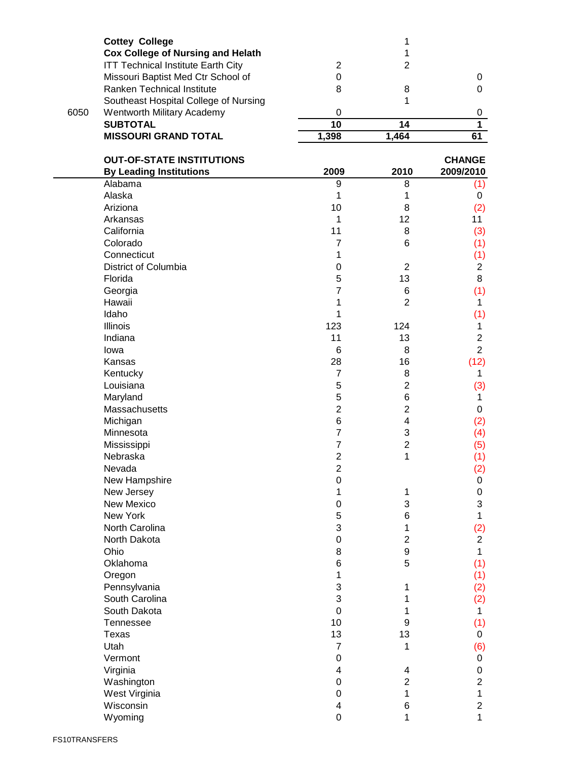|      | <b>Cottey College</b><br><b>Cox College of Nursing and Helath</b> |                         | 1<br>1                  |                |
|------|-------------------------------------------------------------------|-------------------------|-------------------------|----------------|
|      | <b>ITT Technical Institute Earth City</b>                         | $\overline{2}$          | $\overline{2}$          |                |
|      | Missouri Baptist Med Ctr School of                                | 0                       |                         | 0              |
|      | Ranken Technical Institute                                        | 8                       | 8                       | $\pmb{0}$      |
|      | Southeast Hospital College of Nursing                             |                         | 1                       |                |
| 6050 | Wentworth Military Academy                                        | $\boldsymbol{0}$        |                         | 0              |
|      | <b>SUBTOTAL</b>                                                   | 10                      | 14                      | $\overline{1}$ |
|      | <b>MISSOURI GRAND TOTAL</b>                                       | 1,398                   | 1,464                   | 61             |
|      | <b>OUT-OF-STATE INSTITUTIONS</b>                                  |                         |                         | <b>CHANGE</b>  |
|      | <b>By Leading Institutions</b>                                    | 2009                    | 2010                    | 2009/2010      |
|      | Alabama                                                           | 9                       | 8                       | (1)            |
|      | Alaska                                                            | 1                       | 1                       | 0              |
|      | Ariziona                                                          | 10                      | 8                       | (2)            |
|      | Arkansas                                                          | 1                       | 12                      | 11             |
|      | California                                                        | 11                      | 8                       | (3)            |
|      | Colorado                                                          | 7                       | 6                       | (1)            |
|      | Connecticut                                                       | 1                       |                         | (1)            |
|      | District of Columbia                                              | 0                       | $\overline{c}$          | $\overline{c}$ |
|      | Florida                                                           | 5                       | 13                      | 8              |
|      | Georgia                                                           | $\overline{7}$          | 6                       | (1)            |
|      | Hawaii                                                            | 1                       | $\overline{2}$          | 1.             |
|      | Idaho                                                             | 1                       |                         | (1)            |
|      | Illinois                                                          | 123                     | 124                     | 1              |
|      | Indiana                                                           | 11                      | 13                      | $\mathbf{2}$   |
|      | lowa                                                              | 6                       | 8                       | $\overline{2}$ |
|      | Kansas                                                            | 28                      | 16                      | (12)           |
|      | Kentucky                                                          | $\overline{7}$          | 8                       | 1              |
|      | Louisiana                                                         | 5                       | $\overline{c}$          | (3)            |
|      | Maryland                                                          | 5                       | 6                       | 1.             |
|      | Massachusetts                                                     | $\overline{c}$          | $\overline{c}$          | 0              |
|      | Michigan                                                          | 6                       | 4                       | (2)            |
|      | Minnesota                                                         | $\overline{7}$          | 3                       | (4)            |
|      | Mississippi                                                       | 7                       | $\overline{\mathbf{c}}$ | (5)            |
|      | Nebraska                                                          | $\overline{2}$          | 1                       | (1)            |
|      | Nevada                                                            | $\overline{\mathbf{c}}$ |                         | (2)            |
|      | New Hampshire                                                     | $\mathbf 0$             |                         | 0              |
|      | New Jersey                                                        | 1                       | 1                       | 0              |
|      | New Mexico                                                        | 0                       | 3                       | 3              |
|      | New York                                                          | 5                       | 6                       | 1              |
|      | North Carolina                                                    | 3                       | 1                       | (2)            |
|      | North Dakota                                                      | 0                       | $\overline{2}$          | $\overline{2}$ |
|      | Ohio                                                              | 8                       | 9                       | 1              |
|      | Oklahoma                                                          | 6                       | 5                       | (1)            |
|      | Oregon                                                            | 1                       |                         | (1)            |
|      | Pennsylvania                                                      | 3                       | 1                       | (2)            |
|      | South Carolina                                                    | 3                       | 1                       | (2)            |
|      | South Dakota                                                      | $\mathbf 0$             | 1                       | 1.             |
|      | Tennessee                                                         | 10                      | 9                       | (1)            |
|      | Texas                                                             | 13                      | 13                      | 0              |
|      | Utah                                                              | $\overline{7}$          | 1                       | (6)            |
|      | Vermont                                                           | 0                       |                         | 0              |
|      | Virginia                                                          | 4                       | 4                       | 0              |
|      | Washington                                                        | $\boldsymbol{0}$        | $\overline{2}$          | $\overline{2}$ |
|      | West Virginia                                                     | 0                       | 1                       | 1              |
|      | Wisconsin                                                         | 4                       | 6                       | $\overline{2}$ |
|      | Wyoming                                                           | 0                       | 1                       | 1              |